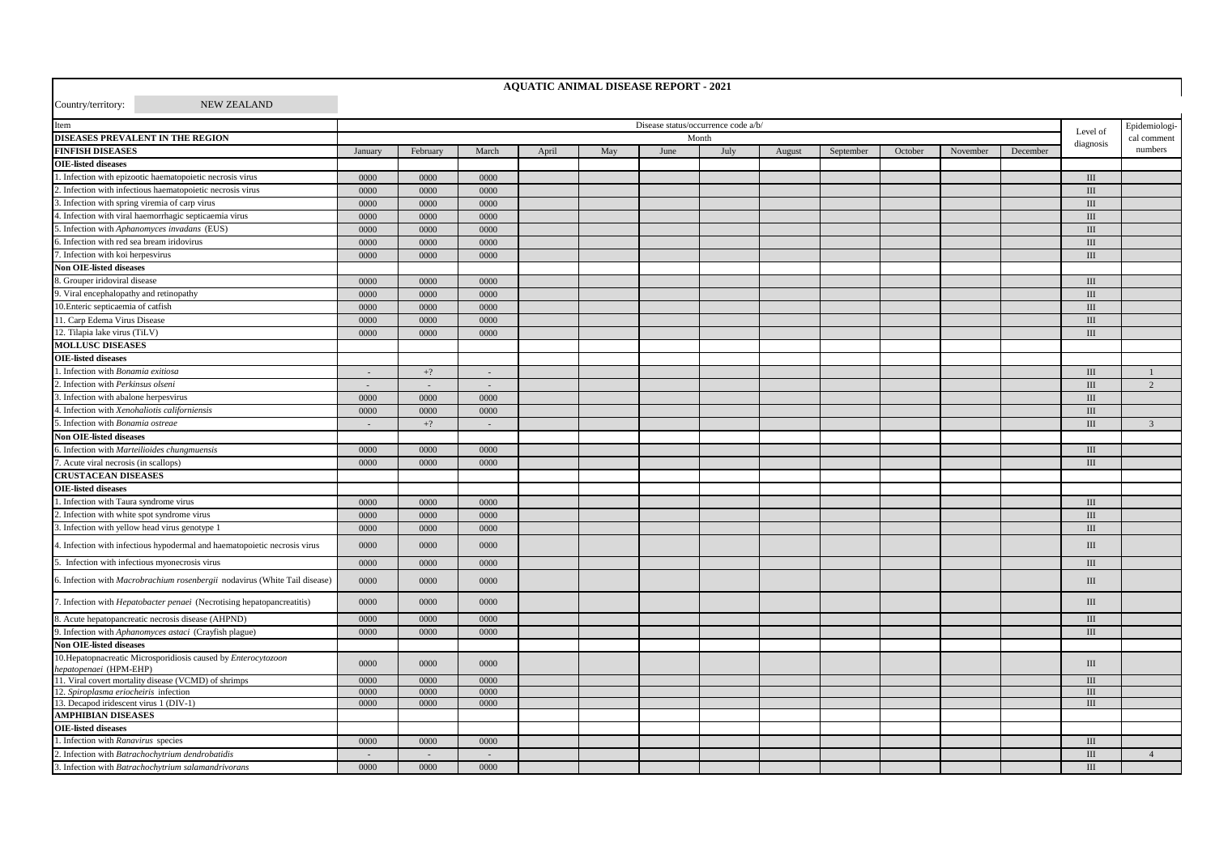| Country/territory:<br><b>NEW ZEALAND</b>                                                 |                                     |          |        |       |     |      |      |        |           |               |          |          |             |                |
|------------------------------------------------------------------------------------------|-------------------------------------|----------|--------|-------|-----|------|------|--------|-----------|---------------|----------|----------|-------------|----------------|
| Item                                                                                     | Disease status/occurrence code a/b/ |          |        |       |     |      |      |        |           | Epidemiologi- |          |          |             |                |
| DISEASES PREVALENT IN THE REGION                                                         |                                     | Month    |        |       |     |      |      |        |           |               |          | Level of | cal comment |                |
| <b>FINFISH DISEASES</b>                                                                  | January                             | February | March  | April | May | June | July | August | September | October       | November | December | diagnosis   | numbers        |
| <b>OIE-listed diseases</b>                                                               |                                     |          |        |       |     |      |      |        |           |               |          |          |             |                |
| . Infection with epizootic haematopoietic necrosis virus                                 | 0000                                | 0000     | 0000   |       |     |      |      |        |           |               |          |          | $\rm III$   |                |
| 2. Infection with infectious haematopoietic necrosis virus                               | 0000                                | 0000     | 0000   |       |     |      |      |        |           |               |          |          | $\rm III$   |                |
| 3. Infection with spring viremia of carp virus                                           | 0000                                | 0000     | 0000   |       |     |      |      |        |           |               |          |          | $\rm III$   |                |
| 4. Infection with viral haemorrhagic septicaemia virus                                   | 0000                                | 0000     | 0000   |       |     |      |      |        |           |               |          |          | III         |                |
| 5. Infection with Aphanomyces invadans (EUS)                                             | 0000                                | 0000     | 0000   |       |     |      |      |        |           |               |          |          | $\rm III$   |                |
| 6. Infection with red sea bream iridovirus                                               | 0000                                | 0000     | 0000   |       |     |      |      |        |           |               |          |          | $\rm III$   |                |
| 7. Infection with koi herpesvirus                                                        | 0000                                | 0000     | 0000   |       |     |      |      |        |           |               |          |          | $\rm III$   |                |
| <b>Non OIE-listed diseases</b>                                                           |                                     |          |        |       |     |      |      |        |           |               |          |          |             |                |
| 8. Grouper iridoviral disease                                                            | 0000                                | 0000     | 0000   |       |     |      |      |        |           |               |          |          | $\rm III$   |                |
| 9. Viral encephalopathy and retinopathy                                                  | 0000                                | 0000     | 0000   |       |     |      |      |        |           |               |          |          | $\rm III$   |                |
| 10. Enteric septicaemia of catfish                                                       | 0000                                | 0000     | 0000   |       |     |      |      |        |           |               |          |          | III         |                |
| 11. Carp Edema Virus Disease                                                             | 0000                                | 0000     | 0000   |       |     |      |      |        |           |               |          |          | III         |                |
| 12. Tilapia lake virus (TiLV)                                                            | 0000                                | 0000     | 0000   |       |     |      |      |        |           |               |          |          | $\rm III$   |                |
| <b>MOLLUSC DISEASES</b>                                                                  |                                     |          |        |       |     |      |      |        |           |               |          |          |             |                |
| <b>OIE-listed diseases</b>                                                               |                                     |          |        |       |     |      |      |        |           |               |          |          |             |                |
| . Infection with Bonamia exitiosa                                                        | $\sim$                              | $+?$     | $\sim$ |       |     |      |      |        |           |               |          |          | $\rm III$   | $\overline{1}$ |
| 2. Infection with Perkinsus olseni                                                       | $\overline{\phantom{a}}$            | $\sim$   | $\sim$ |       |     |      |      |        |           |               |          |          | $\rm III$   | $\overline{2}$ |
| 3. Infection with abalone herpesvirus                                                    | 0000                                | 0000     | 0000   |       |     |      |      |        |           |               |          |          | $\rm III$   |                |
| 4. Infection with Xenohaliotis californiensis                                            | 0000                                | 0000     | 0000   |       |     |      |      |        |           |               |          |          | III         |                |
| 5. Infection with Bonamia ostreae                                                        | $\sim$                              | $+?$     | $\sim$ |       |     |      |      |        |           |               |          |          | $\rm III$   | $\overline{3}$ |
| Non OIE-listed diseases                                                                  |                                     |          |        |       |     |      |      |        |           |               |          |          |             |                |
| 6. Infection with Marteilioides chungmuensis                                             | 0000                                | 0000     | 0000   |       |     |      |      |        |           |               |          |          | $\rm III$   |                |
| 7. Acute viral necrosis (in scallops)                                                    | 0000                                | 0000     | 0000   |       |     |      |      |        |           |               |          |          | Ш           |                |
| <b>CRUSTACEAN DISEASES</b>                                                               |                                     |          |        |       |     |      |      |        |           |               |          |          |             |                |
| <b>OIE-listed diseases</b>                                                               |                                     |          |        |       |     |      |      |        |           |               |          |          |             |                |
| . Infection with Taura syndrome virus                                                    | 0000                                | 0000     | 0000   |       |     |      |      |        |           |               |          |          | III         |                |
| 2. Infection with white spot syndrome virus                                              | 0000                                | 0000     | 0000   |       |     |      |      |        |           |               |          |          | $\rm III$   |                |
| 3. Infection with yellow head virus genotype 1                                           | 0000                                | 0000     | 0000   |       |     |      |      |        |           |               |          |          | $\rm III$   |                |
| 4. Infection with infectious hypodermal and haematopoietic necrosis virus                | 0000                                | 0000     | 0000   |       |     |      |      |        |           |               |          |          | $\rm III$   |                |
| 5. Infection with infectious myonecrosis virus                                           | 0000                                | 0000     | 0000   |       |     |      |      |        |           |               |          |          | $\rm III$   |                |
| 6. Infection with Macrobrachium rosenbergii nodavirus (White Tail disease)               | 0000                                | 0000     | 0000   |       |     |      |      |        |           |               |          |          | Ш           |                |
| 7. Infection with <i>Hepatobacter penaei</i> (Necrotising hepatopancreatitis)            | 0000                                | 0000     | 0000   |       |     |      |      |        |           |               |          |          | $\rm III$   |                |
| 8. Acute hepatopancreatic necrosis disease (AHPND)                                       | 0000                                | 0000     | 0000   |       |     |      |      |        |           |               |          |          | III         |                |
| 9. Infection with Aphanomyces astaci (Crayfish plague)                                   | 0000                                | 0000     | 0000   |       |     |      |      |        |           |               |          |          | III         |                |
| <b>Non OIE-listed diseases</b>                                                           |                                     |          |        |       |     |      |      |        |           |               |          |          |             |                |
| 10. Hepatopnacreatic Microsporidiosis caused by Enterocytozoon<br>hepatopenaei (HPM-EHP) | 0000                                | 0000     | 0000   |       |     |      |      |        |           |               |          |          | $\rm III$   |                |
| 11. Viral covert mortality disease (VCMD) of shrimps                                     | 0000                                | 0000     | 0000   |       |     |      |      |        |           |               |          |          | III         |                |
| 12. Spiroplasma eriocheiris infection                                                    | 0000                                | 0000     | 0000   |       |     |      |      |        |           |               |          |          | III         |                |
| 13. Decapod iridescent virus 1 (DIV-1)                                                   | 0000                                | 0000     | 0000   |       |     |      |      |        |           |               |          |          | III         |                |
| <b>AMPHIBIAN DISEASES</b>                                                                |                                     |          |        |       |     |      |      |        |           |               |          |          |             |                |
| <b>OIE-listed diseases</b>                                                               |                                     |          |        |       |     |      |      |        |           |               |          |          |             |                |
| . Infection with Ranavirus species                                                       | 0000                                | 0000     | 0000   |       |     |      |      |        |           |               |          |          | III         |                |
| 2. Infection with Batrachochytrium dendrobatidis                                         |                                     |          |        |       |     |      |      |        |           |               |          |          | III         | $\overline{4}$ |
| 3. Infection with Batrachochytrium salamandrivorans                                      | 0000                                | 0000     | 0000   |       |     |      |      |        |           |               |          |          | III         |                |

**AQUATIC ANIMAL DISEASE REPORT - 2021**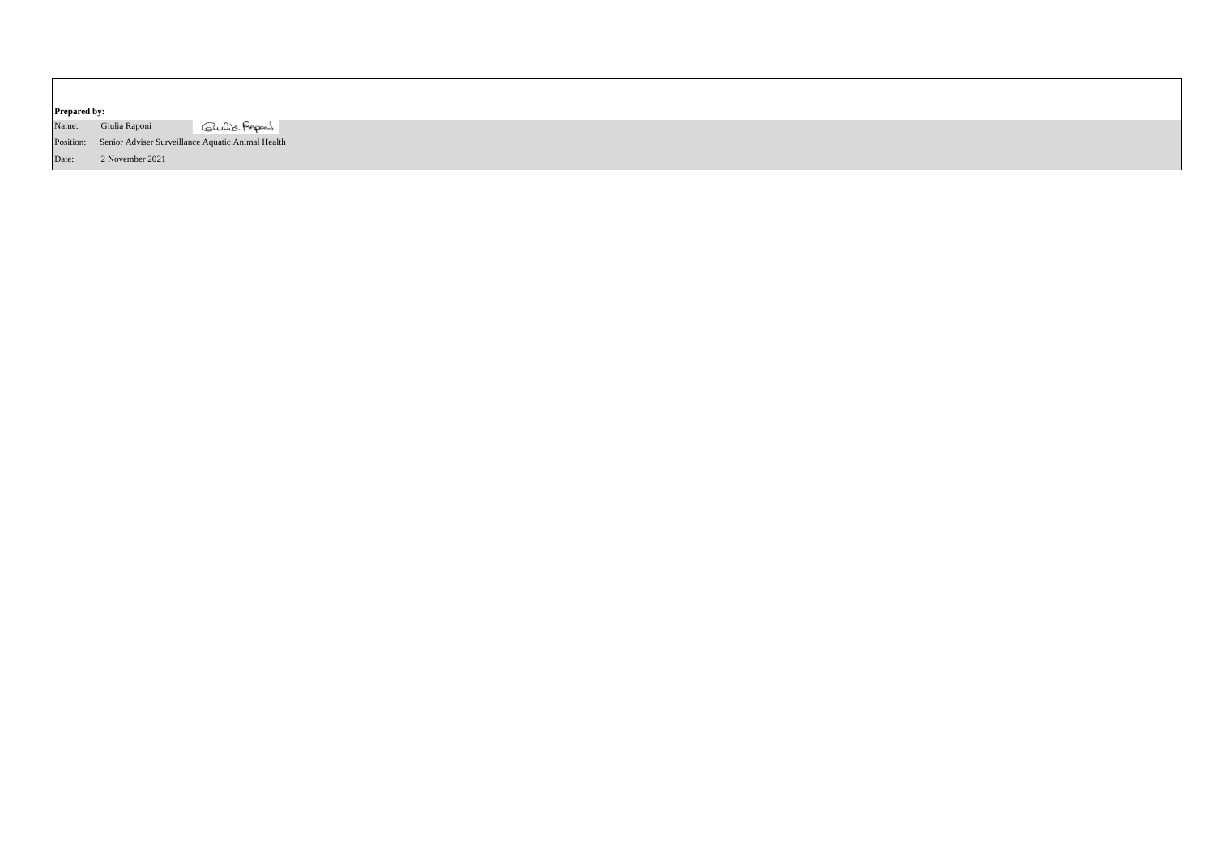| <b>Prepared by:</b> |                 |                                                             |
|---------------------|-----------------|-------------------------------------------------------------|
| Name:               | Giulia Raponi   | Gulbe Papers                                                |
|                     |                 | Position: Senior Adviser Surveillance Aquatic Animal Health |
| Date:               | 2 November 2021 |                                                             |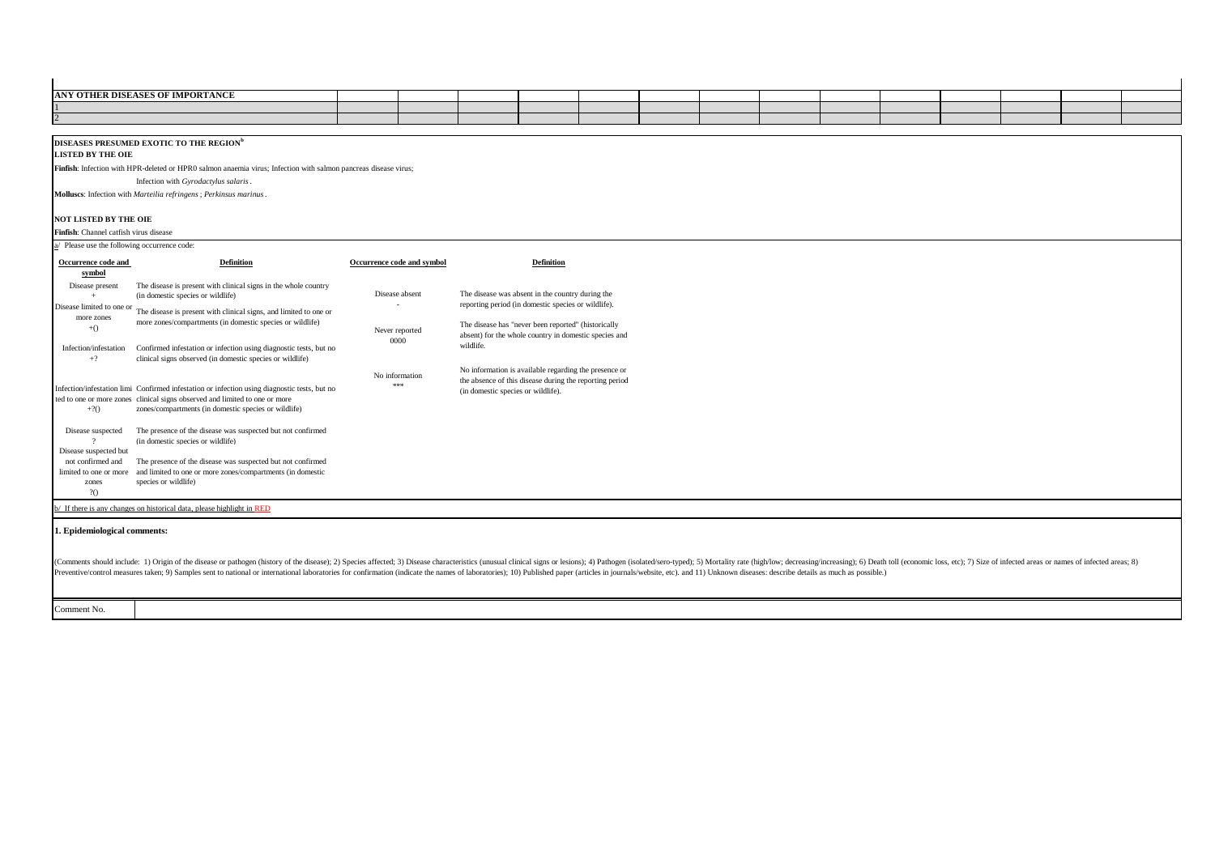| ANY OTHER DISEASES OF IMPORTANCE |  |  |  |  |  |  |  |
|----------------------------------|--|--|--|--|--|--|--|
|                                  |  |  |  |  |  |  |  |
|                                  |  |  |  |  |  |  |  |

## **DISEASES PRESUMED EXOTIC TO THE REGION<sup>b</sup>**

**LISTED BY THE OIE**

**Finfish**: Infection with HPR-deleted or HPR0 salmon anaemia virus; Infection with salmon pancreas disease virus;

Infection with *Gyrodactylus salaris*.

**Molluscs**: Infection with *Marteilia refringens*; *Perkinsus marinus*.

## **NOT LISTED BY THE OIE**

Comment No.

**Finfish**: Channel catfish virus disease

|  |  | a/ Please use the following occurrence code |  |
|--|--|---------------------------------------------|--|
|  |  |                                             |  |

| a/ Please use the following occurrence code:                                                             |                                                                                                                                                                                                                                                                                                                                                                                                                                                                 |                                          |                                                                                                                                                                                                                                      |  |  |
|----------------------------------------------------------------------------------------------------------|-----------------------------------------------------------------------------------------------------------------------------------------------------------------------------------------------------------------------------------------------------------------------------------------------------------------------------------------------------------------------------------------------------------------------------------------------------------------|------------------------------------------|--------------------------------------------------------------------------------------------------------------------------------------------------------------------------------------------------------------------------------------|--|--|
| Occurrence code and<br>symbol                                                                            | <b>Definition</b>                                                                                                                                                                                                                                                                                                                                                                                                                                               | Occurrence code and symbol               | <b>Definition</b>                                                                                                                                                                                                                    |  |  |
| Disease present<br>Disease limited to one or<br>more zones<br>$+()$<br>Infection/infestation             | The disease is present with clinical signs in the whole country<br>(in domestic species or wildlife)<br>The disease is present with clinical signs, and limited to one or<br>more zones/compartments (in domestic species or wildlife)<br>Confirmed infestation or infection using diagnostic tests, but no                                                                                                                                                     | Disease absent<br>Never reported<br>0000 | The disease was absent in the country during the<br>reporting period (in domestic species or wildlife).<br>The disease has "never been reported" (historically<br>absent) for the whole country in domestic species and<br>wildlife. |  |  |
| $+?$<br>$+2()$                                                                                           | clinical signs observed (in domestic species or wildlife)<br>Infection/infestation limi Confirmed infestation or infection using diagnostic tests, but no<br>ted to one or more zones clinical signs observed and limited to one or more<br>zones/compartments (in domestic species or wildlife)                                                                                                                                                                | No information<br>***                    | No information is available regarding the presence or<br>the absence of this disease during the reporting period<br>(in domestic species or wildlife).                                                                               |  |  |
| Disease suspected<br>Disease suspected but<br>not confirmed and<br>limited to one or more<br>zones<br>20 | The presence of the disease was suspected but not confirmed<br>(in domestic species or wildlife)<br>The presence of the disease was suspected but not confirmed<br>and limited to one or more zones/compartments (in domestic<br>species or wildlife)                                                                                                                                                                                                           |                                          |                                                                                                                                                                                                                                      |  |  |
|                                                                                                          | b/ If there is any changes on historical data, please highlight in RED                                                                                                                                                                                                                                                                                                                                                                                          |                                          |                                                                                                                                                                                                                                      |  |  |
| 1. Epidemiological comments:                                                                             | (Comments should include: 1) Origin of the disease or pathogen (history of the disease); 2) Species affected; 3) Disease characteristics (unusual clinical signs or lesions); 4) Pathogen (isolated/sero-typed); 5) Mortality<br>Preventive/control measures taken; 9) Samples sent to national or international laboratories for confirmation (indicate the names of laboratories); 10) Published paper (articles in journals/website, etc), and 11) Unknown d |                                          |                                                                                                                                                                                                                                      |  |  |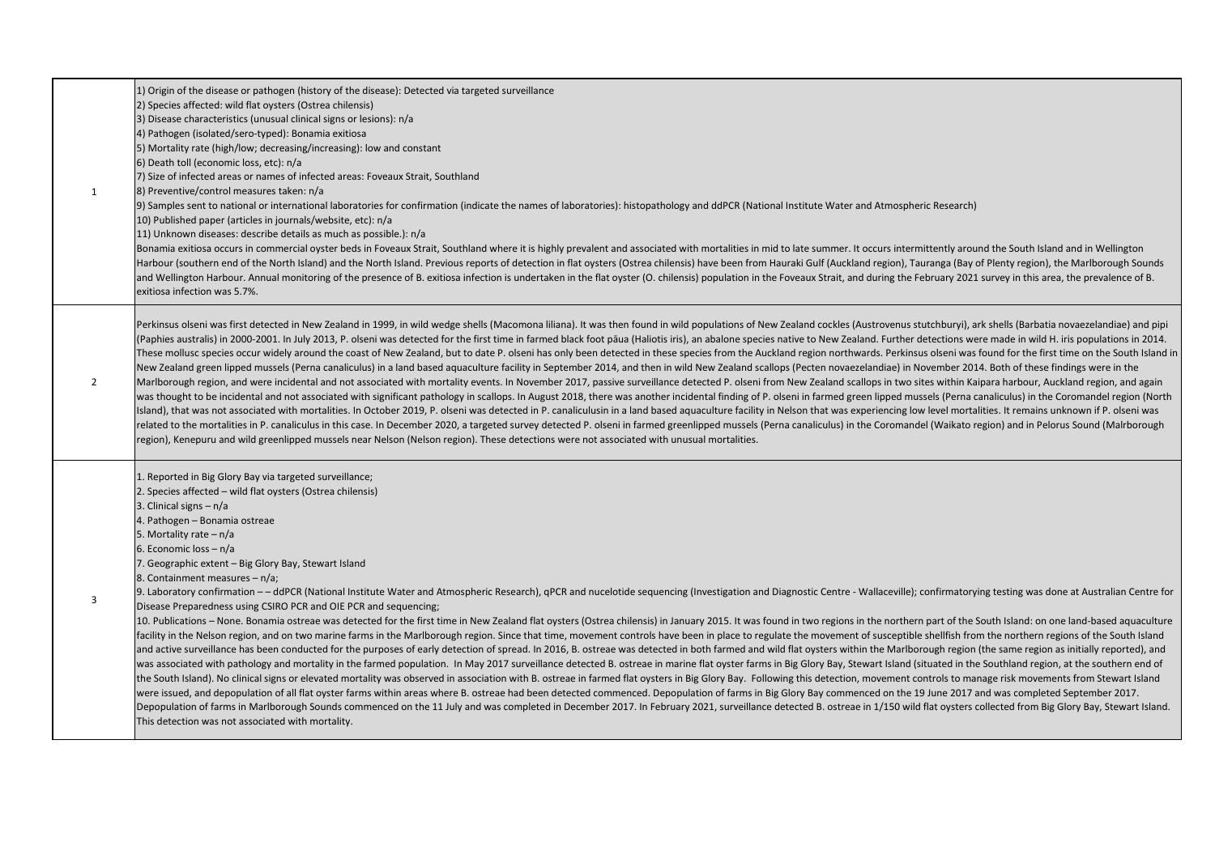| 1              | 1) Origin of the disease or pathogen (history of the disease): Detected via targeted surveillance<br>2) Species affected: wild flat oysters (Ostrea chilensis)<br>3) Disease characteristics (unusual clinical signs or lesions): n/a<br>4) Pathogen (isolated/sero-typed): Bonamia exitiosa<br>5) Mortality rate (high/low; decreasing/increasing): low and constant<br>6) Death toll (economic loss, etc): n/a<br>7) Size of infected areas or names of infected areas: Foveaux Strait, Southland<br>8) Preventive/control measures taken: n/a<br>[9] Samples sent to national or international laboratories for confirmation (indicate the names of laboratories): histopathology and ddPCR (National Institute Water and Atmospheric Research)<br>10) Published paper (articles in journals/website, etc): n/a<br>11) Unknown diseases: describe details as much as possible.): n/a<br>Bonamia exitiosa occurs in commercial oyster beds in Foveaux Strait, Southland where it is highly prevalent and associated with mortalities in mid to late summer. It occurs intermittently around the South Island and in Wel<br>Harbour (southern end of the North Island) and the North Island. Previous reports of detection in flat oysters (Ostrea chilensis) have been from Hauraki Gulf (Auckland region), Tauranga (Bay of Plenty region), the Marlboro<br>and Wellington Harbour. Annual monitoring of the presence of B. exitiosa infection is undertaken in the flat oyster (O. chilensis) population in the Foveaux Strait, and during the February 2021 survey in this area, the pre<br>exitiosa infection was 5.7%.                                                                                                                                                                                                                                                                                                                                                                                                                                                                                                                                                                                                                                                                                                          |
|----------------|----------------------------------------------------------------------------------------------------------------------------------------------------------------------------------------------------------------------------------------------------------------------------------------------------------------------------------------------------------------------------------------------------------------------------------------------------------------------------------------------------------------------------------------------------------------------------------------------------------------------------------------------------------------------------------------------------------------------------------------------------------------------------------------------------------------------------------------------------------------------------------------------------------------------------------------------------------------------------------------------------------------------------------------------------------------------------------------------------------------------------------------------------------------------------------------------------------------------------------------------------------------------------------------------------------------------------------------------------------------------------------------------------------------------------------------------------------------------------------------------------------------------------------------------------------------------------------------------------------------------------------------------------------------------------------------------------------------------------------------------------------------------------------------------------------------------------------------------------------------------------------------------------------------------------------------------------------------------------------------------------------------------------------------------------------------------------------------------------------------------------------------------------------------------------------------------------------------------------------------------------------------------------------------------------------------------------------------|
| 2              | Perkinsus olseni was first detected in New Zealand in 1999, in wild wedge shells (Macomona liliana). It was then found in wild populations of New Zealand cockles (Austrovenus stutchburyi), ark shells (Barbatia novaezelandi<br>(Paphies australis) in 2000-2001. In July 2013, P. olseni was detected for the first time in farmed black foot pāua (Haliotis iris), an abalone species native to New Zealand. Further detections were made in wild H. iris po<br>These mollusc species occur widely around the coast of New Zealand, but to date P. olseni has only been detected in these species from the Auckland region northwards. Perkinsus olseni was found for the first time on the So<br>New Zealand green lipped mussels (Perna canaliculus) in a land based aquaculture facility in September 2014, and then in wild New Zealand scallops (Pecten novaezelandiae) in November 2014. Both of these findings were in th<br>Marlborough region, and were incidental and not associated with mortality events. In November 2017, passive surveillance detected P. olseni from New Zealand scallops in two sites within Kaipara harbour, Auckland region, an<br>was thought to be incidental and not associated with significant pathology in scallops. In August 2018, there was another incidental finding of P. olseni in farmed green lipped mussels (Perna canaliculus) in the Coromandel<br>Island), that was not associated with mortalities. In October 2019, P. olseni was detected in P. canaliculusin in a land based aquaculture facility in Nelson that was experiencing low level mortalities. It remains unknown<br>related to the mortalities in P. canaliculus in this case. In December 2020, a targeted survey detected P. olseni in farmed greenlipped mussels (Perna canaliculus) in the Coromandel (Waikato region) and in Pelorus Sound (M<br>region), Kenepuru and wild greenlipped mussels near Nelson (Nelson region). These detections were not associated with unusual mortalities.                                                                                                                                                                                                                                                                                                              |
| $\overline{3}$ | 1. Reported in Big Glory Bay via targeted surveillance;<br>2. Species affected – wild flat oysters (Ostrea chilensis)<br>3. Clinical signs $- n/a$<br>4. Pathogen - Bonamia ostreae<br>5. Mortality rate $- n/a$<br>6. Economic loss - n/a<br>7. Geographic extent - Big Glory Bay, Stewart Island<br>8. Containment measures - n/a;<br>9. Laboratory confirmation - - ddPCR (National Institute Water and Atmospheric Research), qPCR and nucelotide sequencing (Investigation and Diagnostic Centre - Wallaceville); confirmatorying testing was done at Australian<br>Disease Preparedness using CSIRO PCR and OIE PCR and sequencing;<br>10. Publications - None. Bonamia ostreae was detected for the first time in New Zealand flat oysters (Ostrea chilensis) in January 2015. It was found in two regions in the northern part of the South Island: on one land-bas<br>facility in the Nelson region, and on two marine farms in the Marlborough region. Since that time, movement controls have been in place to regulate the movement of susceptible shellfish from the northern regions of the Sou<br>and active surveillance has been conducted for the purposes of early detection of spread. In 2016, B. ostreae was detected in both farmed and wild flat oysters within the Marlborough region (the same region as initially re<br>was associated with pathology and mortality in the farmed population. In May 2017 surveillance detected B. ostreae in marine flat oyster farms in Big Glory Bay, Stewart Island (situated in the Southland region, at the sout<br>the South Island). No clinical signs or elevated mortality was observed in association with B. ostreae in farmed flat oysters in Big Glory Bay. Following this detection, movement controls to manage risk movements from Stew<br>were issued, and depopulation of all flat oyster farms within areas where B. ostreae had been detected commenced. Depopulation of farms in Big Glory Bay commenced on the 19 June 2017 and was completed September 2017.<br>Depopulation of farms in Marlborough Sounds commenced on the 11 July and was completed in December 2017. In February 2021, surveillance detected B. ostreae in 1/150 wild flat oysters collected from Big Glory Bay, Stewart I<br>This detection was not associated with mortality. |